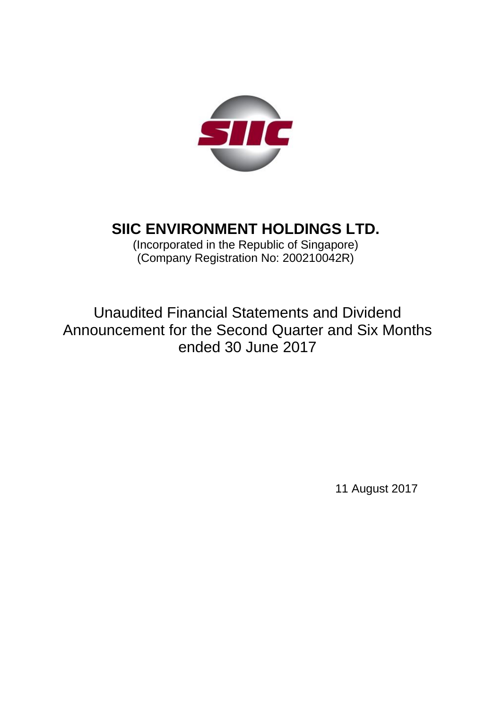

# **SIIC ENVIRONMENT HOLDINGS LTD.**

(Incorporated in the Republic of Singapore)  $\hat{O}$  (Company Registration No: 200210042R)

Unaudited Financial Statements and Dividend Announcement for the Second Quarter and Six Months ended 30 June 2017

11 August 2017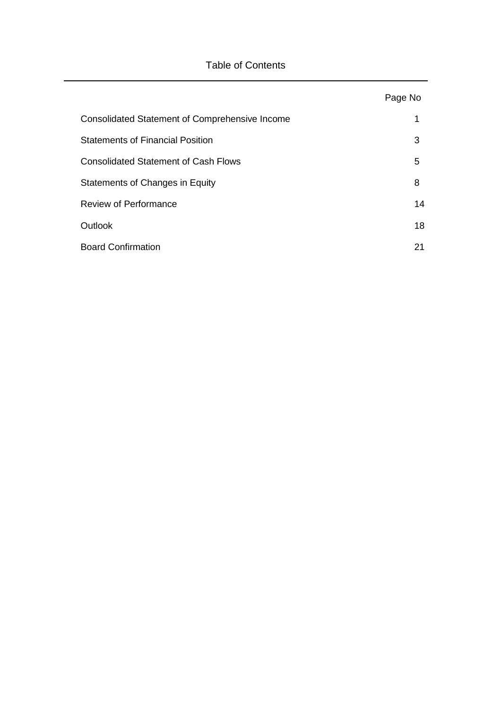## Table of Contents

|                                                       | Page No |
|-------------------------------------------------------|---------|
| <b>Consolidated Statement of Comprehensive Income</b> | 1       |
| <b>Statements of Financial Position</b>               | 3       |
| <b>Consolidated Statement of Cash Flows</b>           | 5       |
| Statements of Changes in Equity                       | 8       |
| <b>Review of Performance</b>                          | 14      |
| Outlook                                               | 18      |
| <b>Board Confirmation</b>                             | 21      |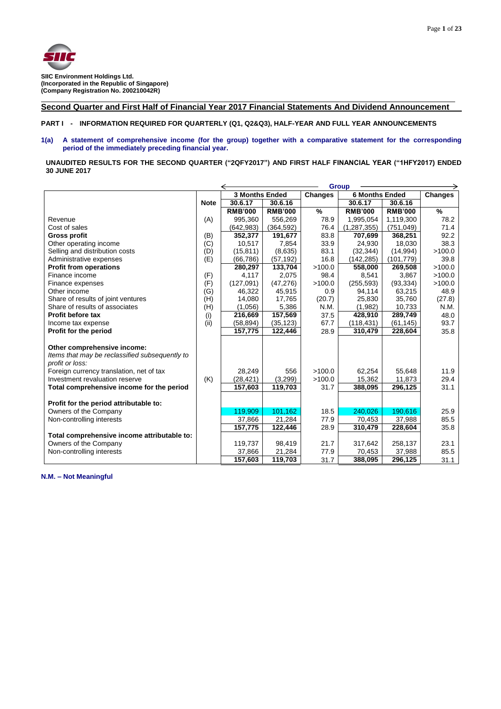

## **Second Quarter and First Half of Financial Year 2017 Financial Statements And Dividend Announcement**

**PART I - INFORMATION REQUIRED FOR QUARTERLY (Q1, Q2&Q3), HALF-YEAR AND FULL YEAR ANNOUNCEMENTS**

## **1(a) A statement of comprehensive income (for the group) together with a comparative statement for the corresponding period of the immediately preceding financial year.**

**UNAUDITED RESULTS FOR THE SECOND QUARTER ("2QFY2017") AND FIRST HALF FINANCIAL YEAR ("1HFY2017) ENDED 30 JUNE 2017**

|                                                |             |                       |                | <b>Group</b>   |                       |                |                |
|------------------------------------------------|-------------|-----------------------|----------------|----------------|-----------------------|----------------|----------------|
|                                                |             | <b>3 Months Ended</b> |                | <b>Changes</b> | <b>6 Months Ended</b> |                | <b>Changes</b> |
|                                                | <b>Note</b> | 30.6.17               | 30.6.16        |                | 30.6.17               | 30.6.16        |                |
|                                                |             | <b>RMB'000</b>        | <b>RMB'000</b> | %              | <b>RMB'000</b>        | <b>RMB'000</b> | $\frac{9}{6}$  |
| Revenue                                        | (A)         | 995,360               | 556,269        | 78.9           | 1,995,054             | 1,119,300      | 78.2           |
| Cost of sales                                  |             | (642, 983)            | (364, 592)     | 76.4           | (1, 287, 355)         | (751, 049)     | 71.4           |
| <b>Gross profit</b>                            | (B)         | 352,377               | 191,677        | 83.8           | 707,699               | 368,251        | 92.2           |
| Other operating income                         | (C)         | 10,517                | 7,854          | 33.9           | 24,930                | 18,030         | 38.3           |
| Selling and distribution costs                 | (D)         | (15, 811)             | (8,635)        | 83.1           | (32, 344)             | (14, 994)      | >100.0         |
| Administrative expenses                        | (E)         | (66, 786)             | (57, 192)      | 16.8           | (142, 285)            | (101, 779)     | 39.8           |
| <b>Profit from operations</b>                  |             | 280,297               | 133,704        | >100.0         | 558,000               | 269,508        | >100.0         |
| Finance income                                 | (F)         | 4,117                 | 2,075          | 98.4           | 8,541                 | 3,867          | >100.0         |
| Finance expenses                               | (F)         | (127,091)             | (47, 276)      | >100.0         | (255, 593)            | (93, 334)      | >100.0         |
| Other income                                   | (G)         | 46,322                | 45,915         | 0.9            | 94,114                | 63,215         | 48.9           |
| Share of results of joint ventures             | (H)         | 14,080                | 17,765         | (20.7)         | 25,830                | 35,760         | (27.8)         |
| Share of results of associates                 | (H)         | (1,056)               | 5,386          | N.M.           | (1,982)               | 10,733         | N.M.           |
| Profit before tax                              | (i)         | 216,669               | 157,569        | 37.5           | 428,910               | 289,749        | 48.0           |
| Income tax expense                             | (ii)        | (58, 894)             | (35, 123)      | 67.7           | (118, 431)            | (61, 145)      | 93.7           |
| Profit for the period                          |             | 157,775               | 122,446        | 28.9           | 310,479               | 228,604        | 35.8           |
|                                                |             |                       |                |                |                       |                |                |
| Other comprehensive income:                    |             |                       |                |                |                       |                |                |
| Items that may be reclassified subsequently to |             |                       |                |                |                       |                |                |
| profit or loss:                                |             |                       |                |                |                       |                |                |
| Foreign currency translation, net of tax       |             | 28,249                | 556            | >100.0         | 62,254                | 55,648         | 11.9           |
| Investment revaluation reserve                 | (K)         | (28, 421)             | (3,299)        | >100.0         | 15,362                | 11,873         | 29.4           |
| Total comprehensive income for the period      |             | 157,603               | 119,703        | 31.7           | 388,095               | 296,125        | 31.1           |
|                                                |             |                       |                |                |                       |                |                |
| Profit for the period attributable to:         |             |                       |                |                |                       |                |                |
| Owners of the Company                          |             | 119,909               | 101,162        | 18.5           | 240,026               | 190,616        | 25.9           |
| Non-controlling interests                      |             | 37,866                | 21,284         | 77.9           | 70,453                | 37,988         | 85.5           |
|                                                |             | 157,775               | 122,446        | 28.9           | 310,479               | 228,604        | 35.8           |
| Total comprehensive income attributable to:    |             |                       |                |                |                       |                |                |
| Owners of the Company                          |             | 119,737               | 98,419         | 21.7           | 317,642               | 258,137        | 23.1           |
| Non-controlling interests                      |             | 37,866                | 21,284         | 77.9           | 70,453                | 37,988         | 85.5           |
|                                                |             | 157,603               | 119,703        | 31.7           | 388,095               | 296,125        | 31.1           |

**N.M. – Not Meaningful**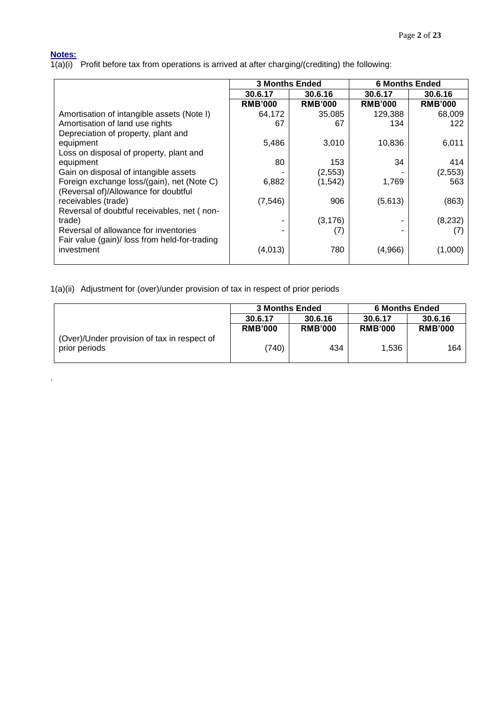## **Notes:**

.

1(a)(i) Profit before tax from operations is arrived at after charging/(crediting) the following:

|                                               | <b>3 Months Ended</b> |                | <b>6 Months Ended</b> |                |  |
|-----------------------------------------------|-----------------------|----------------|-----------------------|----------------|--|
|                                               | 30.6.17               | 30.6.16        | 30.6.17               | 30.6.16        |  |
|                                               | <b>RMB'000</b>        | <b>RMB'000</b> | <b>RMB'000</b>        | <b>RMB'000</b> |  |
| Amortisation of intangible assets (Note I)    | 64,172                | 35,085         | 129,388               | 68,009         |  |
| Amortisation of land use rights               | 67                    | 67             | 134                   | 122            |  |
| Depreciation of property, plant and           |                       |                |                       |                |  |
| equipment                                     | 5,486                 | 3,010          | 10,836                | 6,011          |  |
| Loss on disposal of property, plant and       |                       |                |                       |                |  |
| equipment                                     | 80                    | 153            | 34                    | 414            |  |
| Gain on disposal of intangible assets         |                       | (2, 553)       |                       | (2, 553)       |  |
| Foreign exchange loss/(gain), net (Note C)    | 6,882                 | (1, 542)       | 1,769                 | 563            |  |
| (Reversal of)/Allowance for doubtful          |                       |                |                       |                |  |
| receivables (trade)                           | (7, 546)              | 906            | (5,613)               | (863)          |  |
| Reversal of doubtful receivables, net (non-   |                       |                |                       |                |  |
| trade)                                        |                       | (3, 176)       |                       | (8, 232)       |  |
| Reversal of allowance for inventories         |                       | (7)            |                       |                |  |
| Fair value (gain)/ loss from held-for-trading |                       |                |                       |                |  |
| investment                                    | (4,013)               | 780            | (4,966)               | (1.000)        |  |
|                                               |                       |                |                       |                |  |

1(a)(ii) Adjustment for (over)/under provision of tax in respect of prior periods

|                                                              | <b>3 Months Ended</b> |                | <b>6 Months Ended</b> |                |  |  |
|--------------------------------------------------------------|-----------------------|----------------|-----------------------|----------------|--|--|
|                                                              | 30.6.17               | 30.6.16        | 30.6.17               | 30.6.16        |  |  |
|                                                              | <b>RMB'000</b>        | <b>RMB'000</b> | <b>RMB'000</b>        | <b>RMB'000</b> |  |  |
| (Over)/Under provision of tax in respect of<br>prior periods | (740)                 | 434            | 1.536                 | 164            |  |  |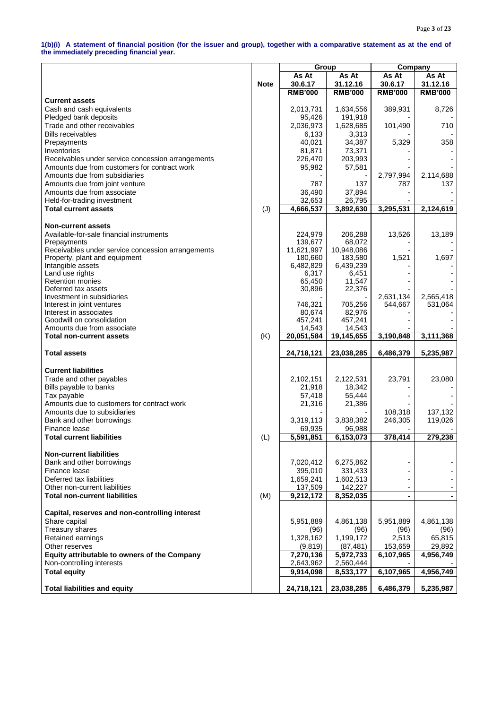#### **1(b)(i) A statement of financial position (for the issuer and group), together with a comparative statement as at the end of the immediately preceding financial year.**

|                                                              |             | Group            |                           | Company        |                |  |
|--------------------------------------------------------------|-------------|------------------|---------------------------|----------------|----------------|--|
|                                                              |             | As At            | As At                     | As At          | As At          |  |
|                                                              | <b>Note</b> | 30.6.17          | 31.12.16                  | 30.6.17        | 31.12.16       |  |
|                                                              |             | <b>RMB'000</b>   | <b>RMB'000</b>            | <b>RMB'000</b> | <b>RMB'000</b> |  |
| <b>Current assets</b>                                        |             |                  |                           |                |                |  |
| Cash and cash equivalents                                    |             | 2,013,731        | 1,634,556                 | 389,931        | 8,726          |  |
| Pledged bank deposits                                        |             | 95,426           | 191,918                   |                |                |  |
| Trade and other receivables                                  |             | 2,036,973        | 1,628,685                 | 101,490        | 710            |  |
| <b>Bills receivables</b>                                     |             | 6,133            | 3,313                     |                |                |  |
| Prepayments                                                  |             | 40,021           | 34,387                    | 5,329          | 358            |  |
| Inventories                                                  |             | 81,871           | 73,371                    |                |                |  |
| Receivables under service concession arrangements            |             | 226,470          | 203,993                   |                |                |  |
| Amounts due from customers for contract work                 |             | 95,982           | 57,581                    |                |                |  |
| Amounts due from subsidiaries                                |             |                  |                           | 2,797,994      | 2,114,688      |  |
| Amounts due from joint venture<br>Amounts due from associate |             | 787              | 137                       | 787            | 137            |  |
| Held-for-trading investment                                  |             | 36,490<br>32,653 | 37,894<br>26,795          |                |                |  |
| <b>Total current assets</b>                                  | (J)         | 4,666,537        | 3,892,630                 | 3,295,531      | 2,124,619      |  |
|                                                              |             |                  |                           |                |                |  |
| <b>Non-current assets</b>                                    |             |                  |                           |                |                |  |
| Available-for-sale financial instruments                     |             | 224,979          | 206,288                   | 13,526         | 13,189         |  |
| Prepayments                                                  |             | 139,677          | 68,072                    |                |                |  |
| Receivables under service concession arrangements            |             | 11,621,997       | 10,948,086                |                |                |  |
| Property, plant and equipment                                |             | 180,660          | 183,580                   | 1,521          | 1,697          |  |
| Intangible assets                                            |             | 6,482,829        | 6,439,239                 |                |                |  |
| Land use rights                                              |             | 6,317            | 6,451                     |                |                |  |
| <b>Retention monies</b>                                      |             | 65,450           | 11,547                    |                |                |  |
| Deferred tax assets                                          |             | 30,896           | 22,376                    |                |                |  |
| Investment in subsidiaries                                   |             | 746,321          | 705,256                   | 2,631,134      | 2,565,418      |  |
| Interest in joint ventures<br>Interest in associates         |             | 80,674           | 82,976                    | 544,667        | 531,064        |  |
| Goodwill on consolidation                                    |             | 457,241          | 457,241                   |                |                |  |
| Amounts due from associate                                   |             | 14,543           | 14,543                    |                |                |  |
| <b>Total non-current assets</b>                              | (K)         | 20,051,584       | 19,145,655                | 3,190,848      | 3,111,368      |  |
|                                                              |             |                  |                           |                |                |  |
| <b>Total assets</b>                                          |             | 24,718,121       | 23,038,285                | 6,486,379      | 5,235,987      |  |
|                                                              |             |                  |                           |                |                |  |
| <b>Current liabilities</b>                                   |             |                  |                           |                |                |  |
| Trade and other payables                                     |             | 2,102,151        | 2,122,531                 | 23,791         | 23,080         |  |
| Bills payable to banks                                       |             | 21,918<br>57,418 | 18,342<br>55,444          |                |                |  |
| Tax payable<br>Amounts due to customers for contract work    |             | 21,316           | 21,386                    |                |                |  |
| Amounts due to subsidiaries                                  |             |                  |                           | 108,318        | 137,132        |  |
| Bank and other borrowings                                    |             | 3,319,113        | 3,838,382                 | 246,305        | 119,026        |  |
| Finance lease                                                |             | 69,935           | 96,988                    |                |                |  |
| <b>Total current liabilities</b>                             | (L)         | 5,591,851        | $\overline{6}$ , 153, 073 | 378,414        | 279,238        |  |
|                                                              |             |                  |                           |                |                |  |
| <b>Non-current liabilities</b>                               |             |                  |                           |                |                |  |
| Bank and other borrowings                                    |             | 7,020,412        | 6,275,862                 |                |                |  |
| Finance lease                                                |             | 395,010          | 331,433                   |                |                |  |
| Deferred tax liabilities                                     |             | 1,659,241        | 1,602,513                 |                |                |  |
| Other non-current liabilities                                |             | 137,509          | 142,227                   |                |                |  |
| <b>Total non-current liabilities</b>                         | (M)         | 9,212,172        | 8,352,035                 |                |                |  |
|                                                              |             |                  |                           |                |                |  |
| Capital, reserves and non-controlling interest               |             |                  |                           |                |                |  |
| Share capital                                                |             | 5,951,889        | 4,861,138                 | 5,951,889      | 4,861,138      |  |
| <b>Treasury shares</b>                                       |             | (96)             | (96)                      | (96)           | (96)           |  |
| Retained earnings                                            |             | 1,328,162        | 1,199,172                 | 2,513          | 65,815         |  |
| Other reserves                                               |             | (9,819)          | (87, 481)                 | 153,659        | 29,892         |  |
| <b>Equity attributable to owners of the Company</b>          |             | 7,270,136        | 5,972,733                 | 6,107,965      | 4,956,749      |  |
| Non-controlling interests                                    |             | 2,643,962        | 2,560,444                 |                |                |  |
| <b>Total equity</b>                                          |             | 9,914,098        | 8,533,177                 | 6,107,965      | 4,956,749      |  |
| <b>Total liabilities and equity</b>                          |             | 24,718,121       | 23,038,285                | 6,486,379      | 5,235,987      |  |
|                                                              |             |                  |                           |                |                |  |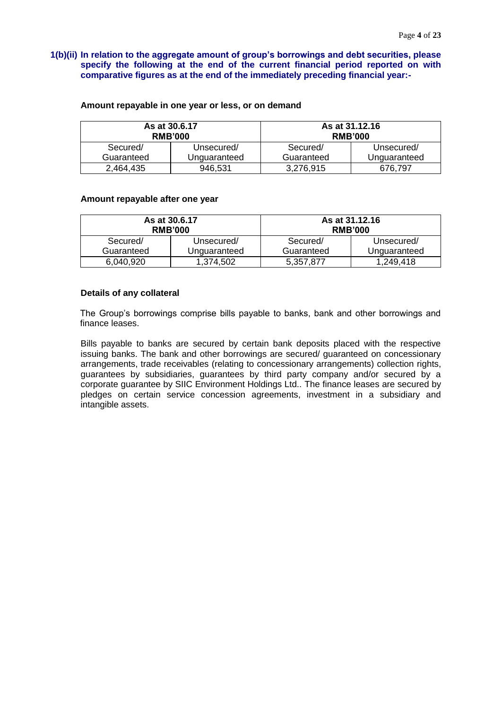**1(b)(ii) In relation to the aggregate amount of group's borrowings and debt securities, please specify the following at the end of the current financial period reported on with comparative figures as at the end of the immediately preceding financial year:-**

|            | As at 30.6.17<br><b>RMB'000</b> |            | As at 31.12.16<br><b>RMB'000</b> |
|------------|---------------------------------|------------|----------------------------------|
| Secured/   | Unsecured/                      | Secured/   | Unsecured/                       |
| Guaranteed | Unguaranteed                    | Guaranteed | Unguaranteed                     |
| 2.464.435  | 946,531                         | 3,276,915  | 676.797                          |

#### **Amount repayable in one year or less, or on demand**

#### **Amount repayable after one year**

|            | As at 30.6.17<br><b>RMB'000</b> |            | As at 31.12.16<br><b>RMB'000</b> |
|------------|---------------------------------|------------|----------------------------------|
| Secured/   | Unsecured/                      | Secured/   | Unsecured/                       |
| Guaranteed | Unguaranteed                    | Guaranteed | Unguaranteed                     |
| 6,040,920  | 1.374.502                       | 5,357,877  | 1,249,418                        |

#### **Details of any collateral**

The Group's borrowings comprise bills payable to banks, bank and other borrowings and finance leases.

Bills payable to banks are secured by certain bank deposits placed with the respective issuing banks. The bank and other borrowings are secured/ guaranteed on concessionary arrangements, trade receivables (relating to concessionary arrangements) collection rights, guarantees by subsidiaries, guarantees by third party company and/or secured by a corporate guarantee by SIIC Environment Holdings Ltd.. The finance leases are secured by pledges on certain service concession agreements, investment in a subsidiary and intangible assets.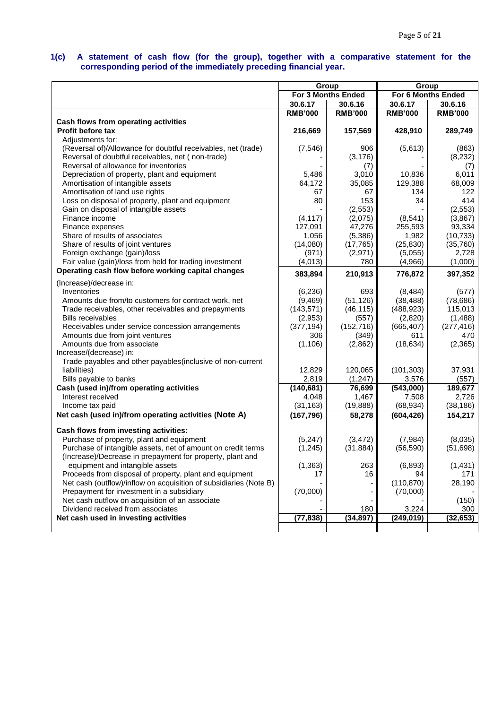#### **1(c) A statement of cash flow (for the group), together with a comparative statement for the corresponding period of the immediately preceding financial year.**

|                                                                   |                | Group              | Group          |                    |  |  |
|-------------------------------------------------------------------|----------------|--------------------|----------------|--------------------|--|--|
|                                                                   |                | For 3 Months Ended |                | For 6 Months Ended |  |  |
|                                                                   | 30.6.17        | 30.6.16            | 30.6.17        | 30.6.16            |  |  |
|                                                                   | <b>RMB'000</b> | <b>RMB'000</b>     | <b>RMB'000</b> | <b>RMB'000</b>     |  |  |
| Cash flows from operating activities                              |                |                    |                |                    |  |  |
| <b>Profit before tax</b>                                          | 216,669        | 157,569            | 428,910        | 289,749            |  |  |
| Adjustments for:                                                  |                |                    |                |                    |  |  |
| (Reversal of)/Allowance for doubtful receivables, net (trade)     | (7, 546)       | 906                | (5,613)        | (863)              |  |  |
| Reversal of doubtful receivables, net (non-trade)                 |                | (3, 176)           |                | (8, 232)           |  |  |
| Reversal of allowance for inventories                             |                | (7)                |                | (7)                |  |  |
| Depreciation of property, plant and equipment                     | 5,486          | 3,010              | 10,836         | 6,011              |  |  |
| Amortisation of intangible assets                                 | 64,172         | 35,085             | 129,388        | 68,009             |  |  |
| Amortisation of land use rights                                   | 67             | 67                 | 134            | 122                |  |  |
| Loss on disposal of property, plant and equipment                 | 80             | 153                | 34             | 414                |  |  |
| Gain on disposal of intangible assets                             |                | (2, 553)           |                | (2, 553)           |  |  |
| Finance income                                                    | (4, 117)       | (2,075)            | (8, 541)       | (3,867)            |  |  |
| Finance expenses                                                  | 127,091        | 47,276             | 255,593        | 93,334             |  |  |
| Share of results of associates                                    | 1,056          | (5,386)            | 1,982          | (10, 733)          |  |  |
| Share of results of joint ventures                                | (14,080)       | (17, 765)          | (25, 830)      | (35, 760)          |  |  |
| Foreign exchange (gain)/loss                                      | (971)          | (2,971)            | (5,055)        | 2,728              |  |  |
| Fair value (gain)/loss from held for trading investment           | (4,013)        | 780                | (4,966)        | (1,000)            |  |  |
| Operating cash flow before working capital changes                | 383,894        | 210,913            | 776,872        | 397,352            |  |  |
| (Increase)/decrease in:                                           |                |                    |                |                    |  |  |
| Inventories                                                       | (6, 236)       | 693                | (8, 484)       | (577)              |  |  |
| Amounts due from/to customers for contract work, net              | (9, 469)       | (51, 126)          | (38, 488)      | (78, 686)          |  |  |
| Trade receivables, other receivables and prepayments              | (143, 571)     | (46, 115)          | (488, 923)     | 115,013            |  |  |
| <b>Bills receivables</b>                                          | (2,953)        | (557)              | (2,820)        | (1,488)            |  |  |
| Receivables under service concession arrangements                 | (377, 194)     | (152, 716)         | (665, 407)     | (277, 416)         |  |  |
| Amounts due from joint ventures                                   | 306            | (349)              | 611            | 470                |  |  |
| Amounts due from associate                                        | (1, 106)       | (2,862)            | (18, 634)      | (2,365)            |  |  |
| Increase/(decrease) in:                                           |                |                    |                |                    |  |  |
| Trade payables and other payables (inclusive of non-current       |                |                    |                |                    |  |  |
| liabilities)                                                      | 12,829         | 120,065            | (101, 303)     | 37,931             |  |  |
| Bills payable to banks                                            | 2,819          | (1, 247)           | 3,576          | (557)              |  |  |
| Cash (used in)/from operating activities                          | (140, 681)     | 76,699             | (543,000)      | 189,677            |  |  |
| Interest received                                                 | 4,048          | 1,467              | 7,508          | 2,726              |  |  |
| Income tax paid                                                   | (31, 163)      | (19, 888)          | (68, 934)      | (38, 186)          |  |  |
| Net cash (used in)/from operating activities (Note A)             | (167, 796)     | 58,278             | (604, 426)     | 154,217            |  |  |
| Cash flows from investing activities:                             |                |                    |                |                    |  |  |
| Purchase of property, plant and equipment                         | (5, 247)       | (3, 472)           | (7,984)        | (8,035)            |  |  |
| Purchase of intangible assets, net of amount on credit terms      | (1, 245)       | (31, 884)          | (56, 590)      | (51, 698)          |  |  |
| (Increase)/Decrease in prepayment for property, plant and         |                |                    |                |                    |  |  |
| equipment and intangible assets                                   | (1, 363)       | 263                | (6,893)        | (1, 431)           |  |  |
| Proceeds from disposal of property, plant and equipment           | 17             | 16                 | 94             | 171                |  |  |
| Net cash (outflow)/inflow on acquisition of subsidiaries (Note B) |                | -                  | (110, 870)     | 28,190             |  |  |
| Prepayment for investment in a subsidiary                         | (70,000)       |                    | (70,000)       |                    |  |  |
| Net cash outflow on acquisition of an associate                   |                |                    |                | (150)              |  |  |
| Dividend received from associates                                 |                | 180                | 3,224          | 300                |  |  |
| Net cash used in investing activities                             | (77, 838)      | (34, 897)          | (249, 019)     | (32, 653)          |  |  |
|                                                                   |                |                    |                |                    |  |  |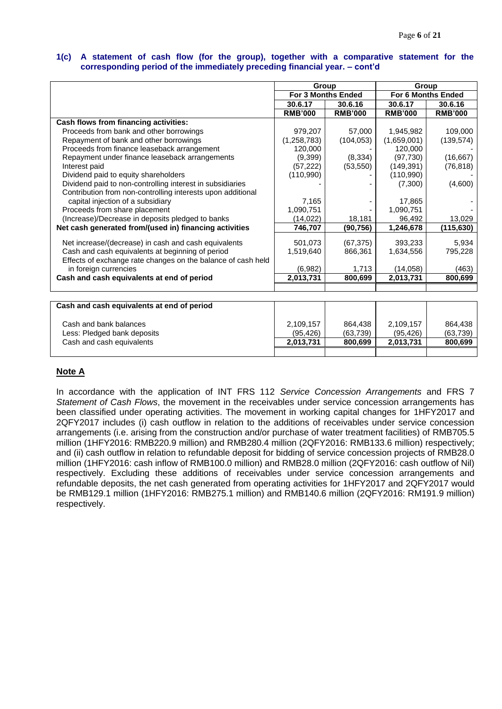#### **1(c) A statement of cash flow (for the group), together with a comparative statement for the corresponding period of the immediately preceding financial year. – cont'd**

|                                                              | Group                     |                | Group          |                    |
|--------------------------------------------------------------|---------------------------|----------------|----------------|--------------------|
|                                                              | <b>For 3 Months Ended</b> |                |                | For 6 Months Ended |
|                                                              | 30.6.17                   | 30.6.16        | 30.6.17        | 30.6.16            |
|                                                              | <b>RMB'000</b>            | <b>RMB'000</b> | <b>RMB'000</b> | <b>RMB'000</b>     |
| Cash flows from financing activities:                        |                           |                |                |                    |
| Proceeds from bank and other borrowings                      | 979,207                   | 57,000         | 1,945,982      | 109,000            |
| Repayment of bank and other borrowings                       | (1, 258, 783)             | (104, 053)     | (1,659,001)    | (139, 574)         |
| Proceeds from finance leaseback arrangement                  | 120,000                   |                | 120,000        |                    |
| Repayment under finance leaseback arrangements               | (9,399)                   | (8, 334)       | (97, 730)      | (16, 667)          |
| Interest paid                                                | (57, 222)                 | (53, 550)      | (149, 391)     | (76, 818)          |
| Dividend paid to equity shareholders                         | (110,990)                 |                | (110,990)      |                    |
| Dividend paid to non-controlling interest in subsidiaries    |                           |                | (7,300)        | (4,600)            |
| Contribution from non-controlling interests upon additional  |                           |                |                |                    |
| capital injection of a subsidiary                            | 7,165                     |                | 17,865         |                    |
| Proceeds from share placement                                | 1,090,751                 |                | 1,090,751      |                    |
| (Increase)/Decrease in deposits pledged to banks             | (14, 022)                 | 18,181         | 96,492         | 13,029             |
| Net cash generated from/(used in) financing activities       | 746,707                   | (90, 756)      | 1,246,678      | (115, 630)         |
|                                                              |                           |                |                |                    |
| Net increase/(decrease) in cash and cash equivalents         | 501,073                   | (67, 375)      | 393,233        | 5,934              |
| Cash and cash equivalents at beginning of period             | 1,519,640                 | 866,361        | 1,634,556      | 795,228            |
| Effects of exchange rate changes on the balance of cash held |                           |                |                |                    |
| in foreign currencies                                        | (6,982)                   | 1,713          | (14, 058)      | (463)              |
| Cash and cash equivalents at end of period                   | 2,013,731                 | 800.699        | 2,013,731      | 800,699            |
|                                                              |                           |                |                |                    |
|                                                              |                           |                |                |                    |
| Cash and cash equivalents at end of period                   |                           |                |                |                    |
| Cash and bank balances                                       | 2,109,157                 | 864,438        | 2,109,157      | 864,438            |
| Less: Pledged bank deposits                                  | (95, 426)                 | (63, 739)      | (95, 426)      | (63, 739)          |
| Cash and cash equivalents                                    | 2,013,731                 | 800,699        | 2,013,731      | 800,699            |

## **Note A**

In accordance with the application of INT FRS 112 *Service Concession Arrangements* and FRS 7 *Statement of Cash Flows*, the movement in the receivables under service concession arrangements has been classified under operating activities. The movement in working capital changes for 1HFY2017 and 2QFY2017 includes (i) cash outflow in relation to the additions of receivables under service concession arrangements (i.e. arising from the construction and/or purchase of water treatment facilities) of RMB705.5 million (1HFY2016: RMB220.9 million) and RMB280.4 million (2QFY2016: RMB133.6 million) respectively; and (ii) cash outflow in relation to refundable deposit for bidding of service concession projects of RMB28.0 million (1HFY2016: cash inflow of RMB100.0 million) and RMB28.0 million (2QFY2016: cash outflow of Nil) respectively. Excluding these additions of receivables under service concession arrangements and refundable deposits, the net cash generated from operating activities for 1HFY2017 and 2QFY2017 would be RMB129.1 million (1HFY2016: RMB275.1 million) and RMB140.6 million (2QFY2016: RM191.9 million) respectively.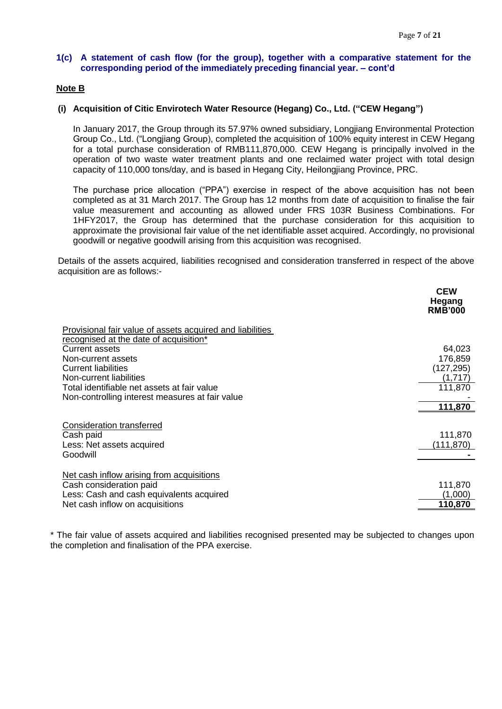## **1(c) A statement of cash flow (for the group), together with a comparative statement for the corresponding period of the immediately preceding financial year. – cont'd**

## **Note B**

#### **(i) Acquisition of Citic Envirotech Water Resource (Hegang) Co., Ltd. ("CEW Hegang")**

In January 2017, the Group through its 57.97% owned subsidiary, Longjiang Environmental Protection Group Co., Ltd. ("Longjiang Group), completed the acquisition of 100% equity interest in CEW Hegang for a total purchase consideration of RMB111,870,000. CEW Hegang is principally involved in the operation of two waste water treatment plants and one reclaimed water project with total design capacity of 110,000 tons/day, and is based in Hegang City, Heilongjiang Province, PRC.

The purchase price allocation ("PPA") exercise in respect of the above acquisition has not been completed as at 31 March 2017. The Group has 12 months from date of acquisition to finalise the fair value measurement and accounting as allowed under FRS 103R Business Combinations. For 1HFY2017, the Group has determined that the purchase consideration for this acquisition to approximate the provisional fair value of the net identifiable asset acquired. Accordingly, no provisional goodwill or negative goodwill arising from this acquisition was recognised.

Details of the assets acquired, liabilities recognised and consideration transferred in respect of the above acquisition are as follows:-

|                                                                                                                                                                                                                                                                                                               | <b>CEW</b><br>Hegang<br><b>RMB'000</b>                           |
|---------------------------------------------------------------------------------------------------------------------------------------------------------------------------------------------------------------------------------------------------------------------------------------------------------------|------------------------------------------------------------------|
| Provisional fair value of assets acquired and liabilities<br>recognised at the date of acquisition*<br><b>Current assets</b><br>Non-current assets<br><b>Current liabilities</b><br>Non-current liabilities<br>Total identifiable net assets at fair value<br>Non-controlling interest measures at fair value | 64,023<br>176,859<br>(127, 295)<br>(1,717)<br>111,870<br>111,870 |
| <b>Consideration transferred</b><br>Cash paid<br>Less: Net assets acquired<br>Goodwill                                                                                                                                                                                                                        | 111,870<br>(111, 870)                                            |
| Net cash inflow arising from acquisitions<br>Cash consideration paid<br>Less: Cash and cash equivalents acquired<br>Net cash inflow on acquisitions                                                                                                                                                           | 111,870<br>(1,000)<br>110,870                                    |

\* The fair value of assets acquired and liabilities recognised presented may be subjected to changes upon the completion and finalisation of the PPA exercise.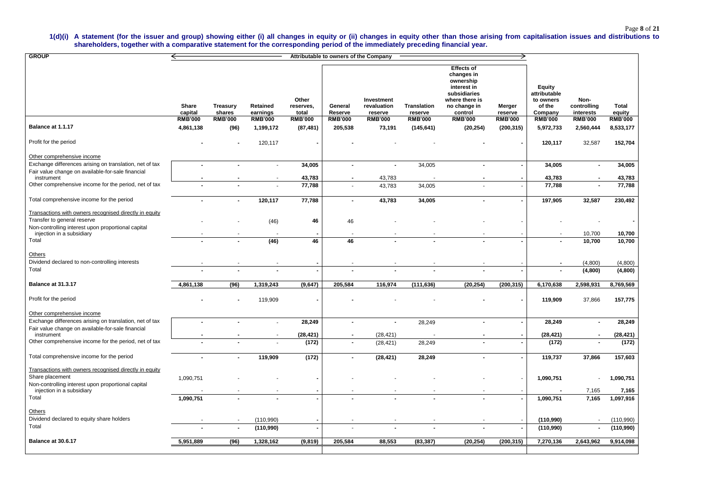## Page **8** of **21**

#### **1(d)(i) A statement (for the issuer and group) showing either (i) all changes in equity or (ii) changes in equity other than those arising from capitalisation issues and distributions to shareholders, together with a comparative statement for the corresponding period of the immediately preceding financial year.**

| <b>GROUP</b>                                                                                                 |                         |                           |                      |                             | Attributable to owners of the Company |                                      |                               |                                                                                                                          |                          |                                                                 |                                  |                 |
|--------------------------------------------------------------------------------------------------------------|-------------------------|---------------------------|----------------------|-----------------------------|---------------------------------------|--------------------------------------|-------------------------------|--------------------------------------------------------------------------------------------------------------------------|--------------------------|-----------------------------------------------------------------|----------------------------------|-----------------|
|                                                                                                              | <b>Share</b><br>capital | <b>Treasury</b><br>shares | Retained<br>earnings | Other<br>reserves,<br>total | General<br>Reserve                    | Investment<br>revaluation<br>reserve | <b>Translation</b><br>reserve | <b>Effects of</b><br>changes in<br>ownership<br>interest in<br>subsidiaries<br>where there is<br>no change in<br>control | <b>Merger</b><br>reserve | <b>Equity</b><br>attributable<br>to owners<br>of the<br>Company | Non-<br>controlling<br>interests | Total<br>equity |
| Balance at 1.1.17                                                                                            | <b>RMB'000</b>          | <b>RMB'000</b>            | <b>RMB'000</b>       | <b>RMB'000</b>              | <b>RMB'000</b>                        | <b>RMB'000</b>                       | <b>RMB'000</b>                | <b>RMB'000</b>                                                                                                           | <b>RMB'000</b>           | <b>RMB'000</b>                                                  | <b>RMB'000</b>                   | <b>RMB'000</b>  |
|                                                                                                              | 4,861,138               | (96)                      | 1,199,172            | (87, 481)                   | 205,538                               | 73,191                               | (145, 641)                    | (20, 254)                                                                                                                | (200, 315)               | 5,972,733                                                       | 2,560,444                        | 8,533,177       |
| Profit for the period                                                                                        |                         |                           | 120,117              |                             |                                       |                                      |                               |                                                                                                                          |                          | 120,117                                                         | 32,587                           | 152,704         |
| Other comprehensive income                                                                                   |                         |                           |                      |                             |                                       |                                      |                               |                                                                                                                          |                          |                                                                 |                                  |                 |
| Exchange differences arising on translation, net of tax<br>Fair value change on available-for-sale financial |                         |                           | $\sim$               | 34,005                      |                                       | $\blacksquare$                       | 34,005                        |                                                                                                                          | $\blacksquare$           | 34,005                                                          |                                  | 34,005          |
| instrument                                                                                                   |                         |                           |                      | 43,783                      |                                       | 43,783                               |                               |                                                                                                                          |                          | 43,783                                                          |                                  | 43,783          |
| Other comprehensive income for the period, net of tax                                                        |                         |                           |                      | 77,788                      |                                       | 43,783                               | 34,005                        |                                                                                                                          |                          | 77,788                                                          |                                  | 77,788          |
| Total comprehensive income for the period                                                                    |                         | ۰                         | 120,117              | 77,788                      |                                       | 43,783                               | 34,005                        |                                                                                                                          | -                        | 197,905                                                         | 32,587                           | 230,492         |
| Transactions with owners recognised directly in equity                                                       |                         |                           |                      |                             |                                       |                                      |                               |                                                                                                                          |                          |                                                                 |                                  |                 |
| Transfer to general reserve                                                                                  |                         |                           | (46)                 | 46                          | 46                                    |                                      |                               |                                                                                                                          |                          |                                                                 |                                  |                 |
| Non-controlling interest upon proportional capital                                                           |                         |                           |                      |                             |                                       |                                      |                               |                                                                                                                          |                          |                                                                 |                                  |                 |
| injection in a subsidiary                                                                                    |                         |                           |                      |                             |                                       |                                      |                               |                                                                                                                          |                          |                                                                 | 10,700                           | 10,700          |
| Total                                                                                                        |                         |                           | (46)                 | 46                          | 46                                    |                                      |                               |                                                                                                                          |                          |                                                                 | 10,700                           | 10,700          |
| Others<br>Dividend declared to non-controlling interests                                                     |                         |                           | $\blacksquare$       |                             |                                       |                                      |                               |                                                                                                                          |                          | $\blacksquare$                                                  | (4,800)                          | (4,800)         |
| Total                                                                                                        |                         |                           |                      |                             |                                       |                                      |                               |                                                                                                                          |                          |                                                                 | (4,800)                          | (4,800)         |
|                                                                                                              |                         |                           |                      |                             |                                       |                                      |                               |                                                                                                                          |                          |                                                                 |                                  |                 |
| Balance at 31.3.17                                                                                           | 4,861,138               | (96)                      | 1,319,243            | (9,647)                     | 205,584                               | 116,974                              | (111, 636)                    | (20, 254)                                                                                                                | (200, 315)               | 6,170,638                                                       | 2,598,931                        | 8,769,569       |
| Profit for the period                                                                                        |                         |                           | 119,909              |                             |                                       |                                      |                               |                                                                                                                          |                          | 119,909                                                         | 37,866                           | 157,775         |
| Other comprehensive income                                                                                   |                         |                           |                      |                             |                                       |                                      |                               |                                                                                                                          |                          |                                                                 |                                  |                 |
| Exchange differences arising on translation, net of tax                                                      |                         |                           | $\blacksquare$       | 28,249                      |                                       | $\blacksquare$                       | 28,249                        |                                                                                                                          | $\blacksquare$           | 28,249                                                          |                                  | 28,249          |
| Fair value change on available-for-sale financial<br>instrument                                              |                         |                           |                      | (28, 421)                   |                                       | (28, 421)                            |                               |                                                                                                                          |                          | (28, 421)                                                       |                                  | (28, 421)       |
| Other comprehensive income for the period, net of tax                                                        |                         |                           |                      | (172)                       | $\overline{\phantom{a}}$              | (28, 421)                            | 28,249                        |                                                                                                                          |                          | (172)                                                           |                                  | (172)           |
| Total comprehensive income for the period                                                                    |                         | $\blacksquare$            | 119,909              | (172)                       |                                       | (28, 421)                            | 28,249                        | $\blacksquare$                                                                                                           | $\blacksquare$           | 119,737                                                         | 37,866                           | 157,603         |
| Transactions with owners recognised directly in equity<br>Share placement                                    | 1,090,751               |                           |                      |                             |                                       |                                      |                               |                                                                                                                          | $\blacksquare$           | 1,090,751                                                       |                                  | 1,090,751       |
| Non-controlling interest upon proportional capital                                                           |                         |                           |                      |                             |                                       |                                      |                               |                                                                                                                          |                          |                                                                 |                                  |                 |
| injection in a subsidiary                                                                                    |                         |                           | $\blacksquare$       |                             |                                       |                                      |                               | $\blacksquare$                                                                                                           |                          | $\sim$                                                          | 7,165                            | 7,165           |
| Total                                                                                                        | 1,090,751               |                           | $\blacksquare$       |                             |                                       |                                      |                               |                                                                                                                          |                          | 1,090,751                                                       | 7,165                            | 1,097,916       |
| Others                                                                                                       |                         |                           |                      |                             |                                       |                                      |                               |                                                                                                                          |                          |                                                                 |                                  |                 |
| Dividend declared to equity share holders                                                                    | $\sim$                  | $\sim$                    | (110,990)            | $\overline{\phantom{a}}$    | $\overline{\phantom{a}}$              | $\sim$                               | $\blacksquare$                | $\sim$                                                                                                                   | $\sim$                   | (110,990)                                                       |                                  | (110,990)       |
| Total                                                                                                        |                         | $\blacksquare$            | (110,990)            | $\overline{\phantom{a}}$    |                                       |                                      |                               |                                                                                                                          | $\blacksquare$           | (110, 990)                                                      |                                  | (110,990)       |
| Balance at 30.6.17                                                                                           | 5,951,889               | (96)                      | 1,328,162            | (9, 819)                    | 205,584                               | 88,553                               | (83, 387)                     | (20, 254)                                                                                                                | (200, 315)               | 7,270,136                                                       | 2,643,962                        | 9,914,098       |
|                                                                                                              |                         |                           |                      |                             |                                       |                                      |                               |                                                                                                                          |                          |                                                                 |                                  |                 |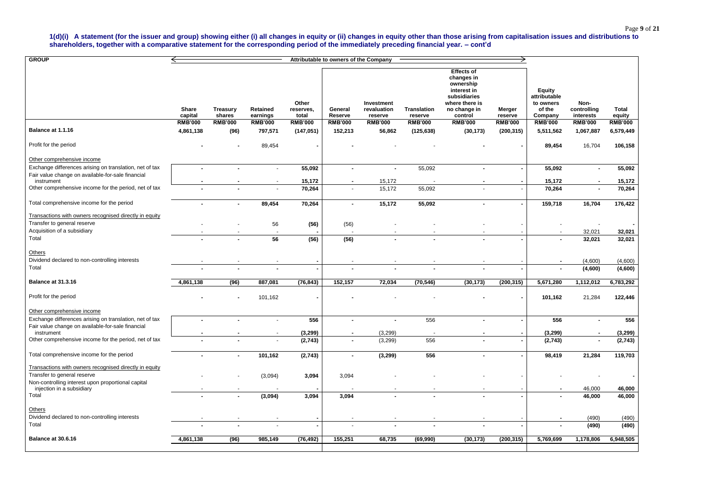**1(d)(i) A statement (for the issuer and group) showing either (i) all changes in equity or (ii) changes in equity other than those arising from capitalisation issues and distributions to shareholders, together with a comparative statement for the corresponding period of the immediately preceding financial year. – cont'd**

| <b>GROUP</b>                                                                    |                         |                           |                             |                             | Attributable to owners of the Company |                                      |                               |                                                                                                                          |                   |                                                                 |                                  |                 |
|---------------------------------------------------------------------------------|-------------------------|---------------------------|-----------------------------|-----------------------------|---------------------------------------|--------------------------------------|-------------------------------|--------------------------------------------------------------------------------------------------------------------------|-------------------|-----------------------------------------------------------------|----------------------------------|-----------------|
|                                                                                 | <b>Share</b><br>capital | <b>Treasury</b><br>shares | <b>Retained</b><br>earnings | Other<br>reserves,<br>total | General<br>Reserve                    | Investment<br>revaluation<br>reserve | <b>Translation</b><br>reserve | <b>Effects of</b><br>changes in<br>ownership<br>interest in<br>subsidiaries<br>where there is<br>no change in<br>control | Merger<br>reserve | <b>Equity</b><br>attributable<br>to owners<br>of the<br>Company | Non-<br>controlling<br>interests | Total<br>equity |
|                                                                                 | <b>RMB'000</b>          | <b>RMB'000</b>            | <b>RMB'000</b>              | <b>RMB'000</b>              | <b>RMB'000</b>                        | <b>RMB'000</b>                       | <b>RMB'000</b>                | <b>RMB'000</b>                                                                                                           | <b>RMB'000</b>    | <b>RMB'000</b>                                                  | <b>RMB'000</b>                   | <b>RMB'000</b>  |
| Balance at 1.1.16                                                               | 4,861,138               | (96)                      | 797,571                     | (147, 051)                  | 152,213                               | 56,862                               | (125, 638)                    | (30, 173)                                                                                                                | (200, 315)        | 5,511,562                                                       | 1,067,887                        | 6,579,449       |
| Profit for the period                                                           |                         |                           | 89,454                      |                             |                                       |                                      |                               |                                                                                                                          |                   | 89,454                                                          | 16,704                           | 106,158         |
| Other comprehensive income                                                      |                         |                           |                             |                             |                                       |                                      |                               |                                                                                                                          |                   |                                                                 |                                  |                 |
| Exchange differences arising on translation, net of tax                         | $\blacksquare$          |                           | $\sim$                      | 55,092                      | $\blacksquare$                        | $\blacksquare$                       | 55,092                        | $\blacksquare$                                                                                                           |                   | 55,092                                                          |                                  | 55,092          |
| Fair value change on available-for-sale financial<br>instrument                 |                         |                           |                             | 15,172                      |                                       | 15,172                               |                               |                                                                                                                          |                   | 15,172                                                          |                                  | 15,172          |
| Other comprehensive income for the period, net of tax                           |                         |                           |                             | 70,264                      | $\blacksquare$                        | 15,172                               | 55,092                        |                                                                                                                          |                   | 70,264                                                          | $\blacksquare$                   | 70,264          |
| Total comprehensive income for the period                                       |                         |                           | 89,454                      | 70,264                      | $\blacksquare$                        | 15,172                               | 55,092                        |                                                                                                                          |                   | 159,718                                                         | 16,704                           | 176,422         |
| Transactions with owners recognised directly in equity                          |                         |                           |                             |                             |                                       |                                      |                               |                                                                                                                          |                   |                                                                 |                                  |                 |
| Transfer to general reserve                                                     |                         |                           | 56                          | (56)                        | (56)                                  |                                      |                               |                                                                                                                          |                   |                                                                 |                                  |                 |
| Acquisition of a subsidiary<br>Total                                            |                         |                           |                             |                             |                                       |                                      |                               |                                                                                                                          |                   |                                                                 | 32,021                           | 32,021          |
|                                                                                 |                         |                           | 56                          | (56)                        | (56)                                  |                                      |                               |                                                                                                                          |                   |                                                                 | 32,021                           | 32,021          |
| Others<br>Dividend declared to non-controlling interests                        |                         |                           |                             |                             |                                       |                                      |                               |                                                                                                                          |                   |                                                                 | (4,600)                          | (4,600)         |
| Total                                                                           |                         |                           |                             |                             |                                       |                                      |                               |                                                                                                                          |                   |                                                                 | (4,600)                          | (4,600)         |
| <b>Balance at 31.3.16</b>                                                       | 4,861,138               | (96)                      | 887,081                     | (76, 843)                   | 152,157                               | 72,034                               | (70, 546)                     | (30, 173)                                                                                                                | (200, 315)        | 5,671,280                                                       | 1,112,012                        | 6,783,292       |
| Profit for the period                                                           |                         |                           | 101,162                     |                             |                                       |                                      |                               |                                                                                                                          |                   | 101,162                                                         | 21,284                           | 122,446         |
| Other comprehensive income                                                      |                         |                           |                             |                             |                                       |                                      |                               |                                                                                                                          |                   |                                                                 |                                  |                 |
| Exchange differences arising on translation, net of tax                         | $\blacksquare$          |                           | $\sim$                      | 556                         | $\blacksquare$                        | $\blacksquare$                       | 556                           | $\blacksquare$                                                                                                           |                   | 556                                                             | $\blacksquare$                   | 556             |
| Fair value change on available-for-sale financial<br>instrument                 |                         |                           |                             | (3, 299)                    |                                       | (3,299)                              | $\sim$                        | $\blacksquare$                                                                                                           |                   | (3, 299)                                                        |                                  | (3, 299)        |
| Other comprehensive income for the period, net of tax                           |                         |                           |                             | (2,743)                     | $\blacksquare$                        | (3,299)                              | 556                           | $\blacksquare$                                                                                                           |                   | (2,743)                                                         |                                  | (2,743)         |
| Total comprehensive income for the period                                       |                         |                           | 101,162                     | (2,743)                     | $\blacksquare$                        | (3, 299)                             | 556                           |                                                                                                                          |                   | 98,419                                                          | 21,284                           | 119,703         |
| Transactions with owners recognised directly in equity                          |                         |                           |                             |                             |                                       |                                      |                               |                                                                                                                          |                   |                                                                 |                                  |                 |
| Transfer to general reserve                                                     |                         |                           | (3,094)                     | 3,094                       | 3,094                                 |                                      |                               |                                                                                                                          |                   |                                                                 |                                  | $\blacksquare$  |
| Non-controlling interest upon proportional capital<br>injection in a subsidiary |                         |                           |                             |                             |                                       |                                      |                               |                                                                                                                          |                   |                                                                 | 46,000                           | 46,000          |
| Total                                                                           |                         |                           | (3,094)                     | 3,094                       | 3,094                                 |                                      |                               |                                                                                                                          |                   |                                                                 | 46,000                           | 46,000          |
| Others                                                                          |                         |                           |                             |                             |                                       |                                      |                               |                                                                                                                          |                   |                                                                 |                                  |                 |
| Dividend declared to non-controlling interests                                  |                         |                           |                             |                             |                                       |                                      |                               |                                                                                                                          |                   |                                                                 | (490)                            | (490)           |
| Total                                                                           |                         |                           |                             |                             |                                       |                                      |                               |                                                                                                                          |                   |                                                                 | (490)                            | (490)           |
| Balance at 30.6.16                                                              | 4,861,138               | (96)                      | 985,149                     | (76, 492)                   | 155,251                               | 68,735                               | (69, 990)                     | (30, 173)                                                                                                                | (200, 315)        | 5,769,699                                                       | 1,178,806                        | 6,948,505       |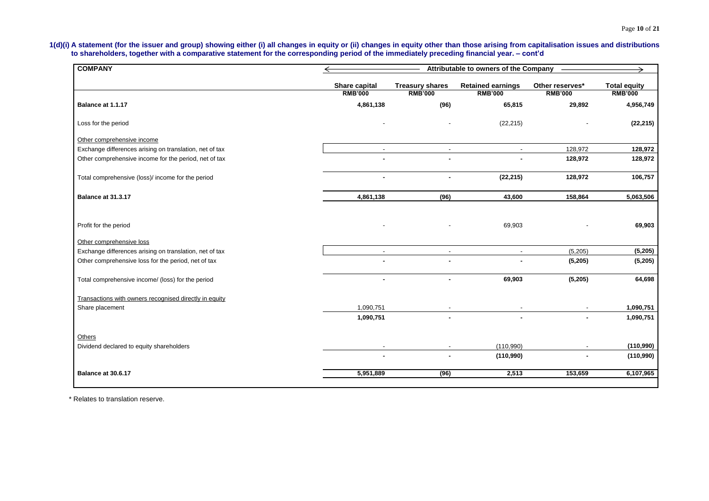## Page **10** of **21**

**1(d)(i) A statement (for the issuer and group) showing either (i) all changes in equity or (ii) changes in equity other than those arising from capitalisation issues and distributions to shareholders, together with a comparative statement for the corresponding period of the immediately preceding financial year. – cont'd**

| <b>COMPANY</b>                                          |                                        | Attributable to owners of the Company    |                                            |                                   |                                       |  |
|---------------------------------------------------------|----------------------------------------|------------------------------------------|--------------------------------------------|-----------------------------------|---------------------------------------|--|
|                                                         | <b>Share capital</b><br><b>RMB'000</b> | <b>Treasury shares</b><br><b>RMB'000</b> | <b>Retained earnings</b><br><b>RMB'000</b> | Other reserves*<br><b>RMB'000</b> | <b>Total equity</b><br><b>RMB'000</b> |  |
| Balance at 1.1.17                                       | 4,861,138                              | (96)                                     | 65,815                                     | 29,892                            | 4,956,749                             |  |
| Loss for the period                                     |                                        |                                          | (22, 215)                                  |                                   | (22, 215)                             |  |
| Other comprehensive income                              |                                        |                                          |                                            |                                   |                                       |  |
| Exchange differences arising on translation, net of tax | $\sim$                                 | $\blacksquare$                           | $\blacksquare$                             | 128,972                           | 128,972                               |  |
| Other comprehensive income for the period, net of tax   |                                        |                                          |                                            | 128,972                           | 128,972                               |  |
| Total comprehensive (loss)/ income for the period       | $\overline{a}$                         | $\overline{a}$                           | (22, 215)                                  | 128,972                           | 106,757                               |  |
| Balance at 31.3.17                                      | 4,861,138                              | (96)                                     | 43,600                                     | 158,864                           | 5,063,506                             |  |
| Profit for the period<br>Other comprehensive loss       |                                        |                                          | 69,903                                     |                                   | 69,903                                |  |
| Exchange differences arising on translation, net of tax |                                        | $\mathbf{r}$                             | $\sim$                                     | (5,205)                           | (5, 205)                              |  |
| Other comprehensive loss for the period, net of tax     |                                        |                                          |                                            | (5, 205)                          | (5, 205)                              |  |
| Total comprehensive income/ (loss) for the period       |                                        | $\blacksquare$                           | 69,903                                     | (5, 205)                          | 64,698                                |  |
| Transactions with owners recognised directly in equity  |                                        |                                          |                                            |                                   |                                       |  |
| Share placement                                         | 1,090,751                              |                                          |                                            |                                   | 1,090,751                             |  |
|                                                         | 1,090,751                              |                                          |                                            |                                   | 1,090,751                             |  |
| Others                                                  |                                        |                                          |                                            |                                   |                                       |  |
| Dividend declared to equity shareholders                |                                        |                                          | (110,990)                                  |                                   | (110,990)                             |  |
|                                                         |                                        |                                          | (110,990)                                  |                                   | (110,990)                             |  |
| Balance at 30.6.17                                      | 5,951,889                              | (96)                                     | 2,513                                      | 153,659                           | 6,107,965                             |  |

\* Relates to translation reserve.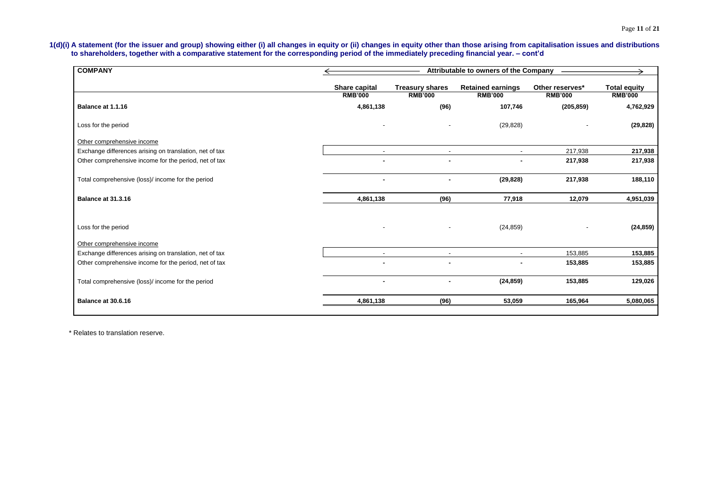## Page **11** of **21**

**1(d)(i) A statement (for the issuer and group) showing either (i) all changes in equity or (ii) changes in equity other than those arising from capitalisation issues and distributions to shareholders, together with a comparative statement for the corresponding period of the immediately preceding financial year. – cont'd**

| <b>COMPANY</b>                                                                        |                                        | Attributable to owners of the Company    |                                            |                                   |                                       |  |
|---------------------------------------------------------------------------------------|----------------------------------------|------------------------------------------|--------------------------------------------|-----------------------------------|---------------------------------------|--|
|                                                                                       | <b>Share capital</b><br><b>RMB'000</b> | <b>Treasury shares</b><br><b>RMB'000</b> | <b>Retained earnings</b><br><b>RMB'000</b> | Other reserves*<br><b>RMB'000</b> | <b>Total equity</b><br><b>RMB'000</b> |  |
| Balance at 1.1.16                                                                     | 4,861,138                              | (96)                                     | 107,746                                    | (205, 859)                        | 4,762,929                             |  |
| Loss for the period                                                                   |                                        |                                          | (29, 828)                                  |                                   | (29, 828)                             |  |
| Other comprehensive income                                                            |                                        |                                          |                                            |                                   |                                       |  |
| Exchange differences arising on translation, net of tax                               |                                        |                                          |                                            | 217,938                           | 217,938                               |  |
| Other comprehensive income for the period, net of tax                                 |                                        |                                          |                                            | 217,938                           | 217,938                               |  |
| Total comprehensive (loss)/ income for the period                                     | $\blacksquare$                         |                                          | (29, 828)                                  | 217,938                           | 188,110                               |  |
| Balance at 31.3.16                                                                    | 4,861,138                              | (96)                                     | 77,918                                     | 12,079                            | 4,951,039                             |  |
| Loss for the period                                                                   | $\blacksquare$                         |                                          | (24, 859)                                  |                                   | (24, 859)                             |  |
| Other comprehensive income<br>Exchange differences arising on translation, net of tax | $\sim$                                 | $\overline{a}$                           | $\overline{\phantom{a}}$                   | 153,885                           | 153,885                               |  |
| Other comprehensive income for the period, net of tax                                 |                                        |                                          |                                            | 153,885                           | 153,885                               |  |
| Total comprehensive (loss)/ income for the period                                     |                                        |                                          | (24, 859)                                  | 153,885                           | 129,026                               |  |
| Balance at 30.6.16                                                                    | 4,861,138                              | (96)                                     | 53,059                                     | 165,964                           | 5,080,065                             |  |
|                                                                                       |                                        |                                          |                                            |                                   |                                       |  |

\* Relates to translation reserve.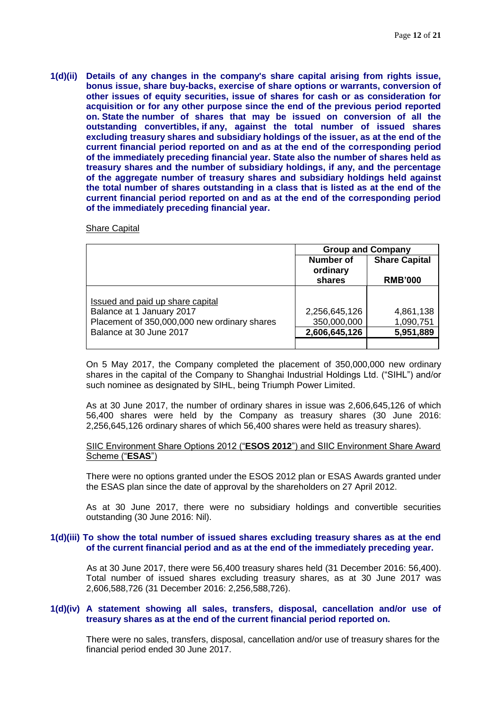**1(d)(ii) Details of any changes in the company's share capital arising from rights issue, bonus issue, share buy-backs, exercise of share options or warrants, conversion of other issues of equity securities, issue of shares for cash or as consideration for acquisition or for any other purpose since the end of the previous period reported on. State the number of shares that may be issued on conversion of all the outstanding convertibles, if any, against the total number of issued shares excluding treasury shares and subsidiary holdings of the issuer, as at the end of the current financial period reported on and as at the end of the corresponding period of the immediately preceding financial year. State also the number of shares held as treasury shares and the number of subsidiary holdings, if any, and the percentage of the aggregate number of treasury shares and subsidiary holdings held against the total number of shares outstanding in a class that is listed as at the end of the current financial period reported on and as at the end of the corresponding period of the immediately preceding financial year.**

#### Share Capital

|                                              | <b>Group and Company</b>                                                  |           |  |
|----------------------------------------------|---------------------------------------------------------------------------|-----------|--|
|                                              | <b>Share Capital</b><br>Number of<br>ordinary<br>shares<br><b>RMB'000</b> |           |  |
|                                              |                                                                           |           |  |
| Issued and paid up share capital             |                                                                           |           |  |
| Balance at 1 January 2017                    | 2,256,645,126                                                             | 4,861,138 |  |
| Placement of 350,000,000 new ordinary shares | 350,000,000                                                               | 1,090,751 |  |
| Balance at 30 June 2017                      | 2,606,645,126                                                             | 5,951,889 |  |
|                                              |                                                                           |           |  |

On 5 May 2017, the Company completed the placement of 350,000,000 new ordinary shares in the capital of the Company to Shanghai Industrial Holdings Ltd. ("SIHL") and/or such nominee as designated by SIHL, being Triumph Power Limited.

As at 30 June 2017, the number of ordinary shares in issue was 2,606,645,126 of which 56,400 shares were held by the Company as treasury shares (30 June 2016: 2,256,645,126 ordinary shares of which 56,400 shares were held as treasury shares).

#### SIIC Environment Share Options 2012 ("**ESOS 2012**") and SIIC Environment Share Award Scheme ("**ESAS**")

There were no options granted under the ESOS 2012 plan or ESAS Awards granted under the ESAS plan since the date of approval by the shareholders on 27 April 2012.

As at 30 June 2017, there were no subsidiary holdings and convertible securities outstanding (30 June 2016: Nil).

#### **1(d)(iii) To show the total number of issued shares excluding treasury shares as at the end of the current financial period and as at the end of the immediately preceding year.**

As at 30 June 2017, there were 56,400 treasury shares held (31 December 2016: 56,400). Total number of issued shares excluding treasury shares, as at 30 June 2017 was 2,606,588,726 (31 December 2016: 2,256,588,726).

#### **1(d)(iv) A statement showing all sales, transfers, disposal, cancellation and/or use of treasury shares as at the end of the current financial period reported on.**

There were no sales, transfers, disposal, cancellation and/or use of treasury shares for the financial period ended 30 June 2017.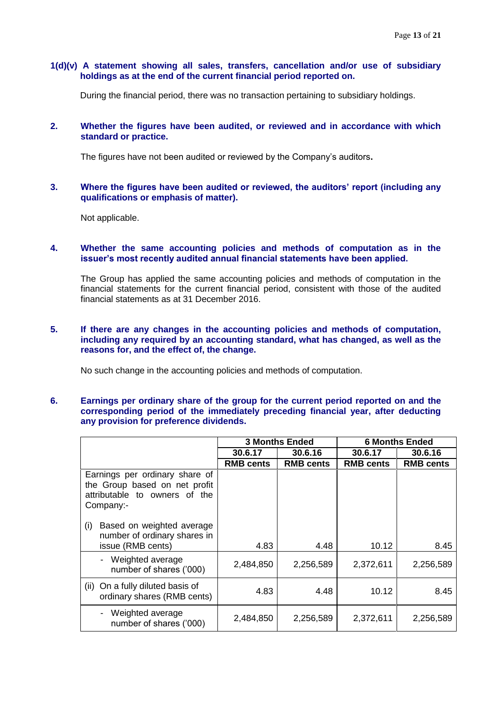#### **1(d)(v) A statement showing all sales, transfers, cancellation and/or use of subsidiary holdings as at the end of the current financial period reported on.**

During the financial period, there was no transaction pertaining to subsidiary holdings.

#### **2. Whether the figures have been audited, or reviewed and in accordance with which standard or practice.**

The figures have not been audited or reviewed by the Company's auditors**.** 

#### **3. Where the figures have been audited or reviewed, the auditors' report (including any qualifications or emphasis of matter).**

Not applicable.

#### **4. Whether the same accounting policies and methods of computation as in the issuer's most recently audited annual financial statements have been applied.**

The Group has applied the same accounting policies and methods of computation in the financial statements for the current financial period, consistent with those of the audited financial statements as at 31 December 2016.

#### **5. If there are any changes in the accounting policies and methods of computation, including any required by an accounting standard, what has changed, as well as the reasons for, and the effect of, the change.**

No such change in the accounting policies and methods of computation.

#### **6. Earnings per ordinary share of the group for the current period reported on and the corresponding period of the immediately preceding financial year, after deducting any provision for preference dividends.**

|                                                                                                               | <b>3 Months Ended</b> |                  |                  | <b>6 Months Ended</b> |  |
|---------------------------------------------------------------------------------------------------------------|-----------------------|------------------|------------------|-----------------------|--|
|                                                                                                               | 30.6.17               | 30.6.16          | 30.6.17          | 30.6.16               |  |
|                                                                                                               | <b>RMB cents</b>      | <b>RMB cents</b> | <b>RMB cents</b> | <b>RMB cents</b>      |  |
| Earnings per ordinary share of<br>the Group based on net profit<br>attributable to owners of the<br>Company:- |                       |                  |                  |                       |  |
| Based on weighted average<br>(i)<br>number of ordinary shares in<br>issue (RMB cents)                         | 4.83                  | 4.48             | 10.12            | 8.45                  |  |
| Weighted average<br>$\blacksquare$<br>number of shares ('000)                                                 | 2,484,850             | 2,256,589        | 2,372,611        | 2,256,589             |  |
| On a fully diluted basis of<br>(ii)<br>ordinary shares (RMB cents)                                            | 4.83                  | 4.48             | 10.12            | 8.45                  |  |
| Weighted average<br>number of shares ('000)                                                                   | 2,484,850             | 2,256,589        | 2,372,611        | 2,256,589             |  |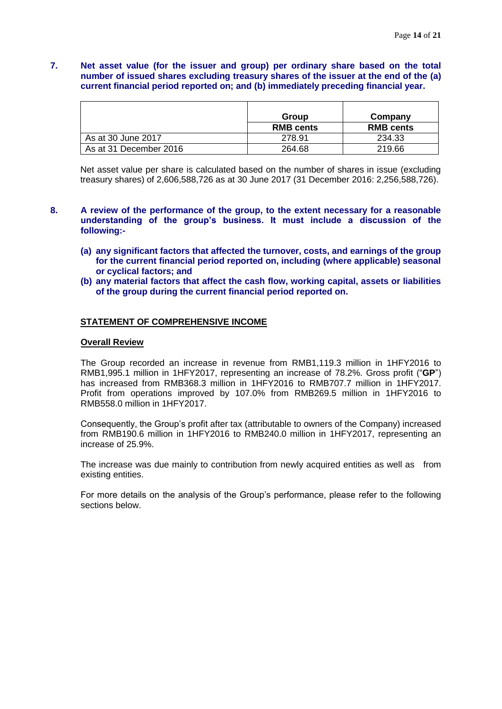## **7. Net asset value (for the issuer and group) per ordinary share based on the total number of issued shares excluding treasury shares of the issuer at the end of the (a) current financial period reported on; and (b) immediately preceding financial year.**

|                        | Group            | Company          |
|------------------------|------------------|------------------|
|                        | <b>RMB cents</b> | <b>RMB cents</b> |
| As at 30 June 2017     | 278.91           | 234.33           |
| As at 31 December 2016 | 264.68           | 219.66           |

Net asset value per share is calculated based on the number of shares in issue (excluding treasury shares) of 2,606,588,726 as at 30 June 2017 (31 December 2016: 2,256,588,726).

- **8. A review of the performance of the group, to the extent necessary for a reasonable understanding of the group's business. It must include a discussion of the following:-**
	- **(a) any significant factors that affected the turnover, costs, and earnings of the group for the current financial period reported on, including (where applicable) seasonal or cyclical factors; and**
	- **(b) any material factors that affect the cash flow, working capital, assets or liabilities of the group during the current financial period reported on.**

#### **STATEMENT OF COMPREHENSIVE INCOME**

#### **Overall Review**

The Group recorded an increase in revenue from RMB1,119.3 million in 1HFY2016 to RMB1,995.1 million in 1HFY2017, representing an increase of 78.2%. Gross profit ("**GP**") has increased from RMB368.3 million in 1HFY2016 to RMB707.7 million in 1HFY2017. Profit from operations improved by 107.0% from RMB269.5 million in 1HFY2016 to RMB558.0 million in 1HFY2017.

Consequently, the Group's profit after tax (attributable to owners of the Company) increased from RMB190.6 million in 1HFY2016 to RMB240.0 million in 1HFY2017, representing an increase of 25.9%.

The increase was due mainly to contribution from newly acquired entities as well as from existing entities.

For more details on the analysis of the Group's performance, please refer to the following sections below.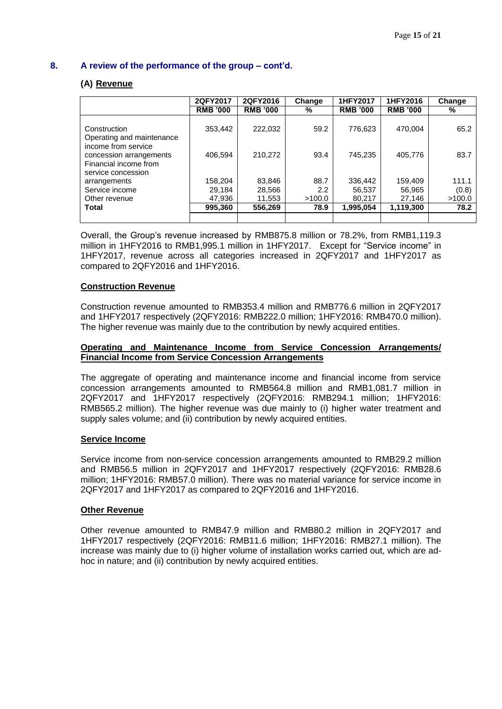## **(A) Revenue**

|                                                                                               | 2QFY2017        | 2QFY2016        | Change        | 1HFY2017        | 1HFY2016        | Change |
|-----------------------------------------------------------------------------------------------|-----------------|-----------------|---------------|-----------------|-----------------|--------|
|                                                                                               | <b>RMB '000</b> | <b>RMB '000</b> | %             | <b>RMB '000</b> | <b>RMB '000</b> | %      |
| Construction<br>Operating and maintenance                                                     | 353,442         | 222,032         | 59.2          | 776,623         | 470,004         | 65.2   |
| income from service<br>concession arrangements<br>Financial income from<br>service concession | 406.594         | 210,272         | 93.4          | 745,235         | 405,776         | 83.7   |
| arrangements                                                                                  | 158,204         | 83,846          | 88.7          | 336,442         | 159,409         | 111.1  |
| Service income                                                                                | 29.184          | 28,566          | $2.2^{\circ}$ | 56,537          | 56,965          | (0.8)  |
| Other revenue                                                                                 | 47,936          | 11,553          | >100.0        | 80,217          | 27.146          | >100.0 |
| <b>Total</b>                                                                                  | 995,360         | 556,269         | 78.9          | 1,995,054       | 1,119,300       | 78.2   |
|                                                                                               |                 |                 |               |                 |                 |        |

Overall, the Group's revenue increased by RMB875.8 million or 78.2%, from RMB1,119.3 million in 1HFY2016 to RMB1,995.1 million in 1HFY2017. Except for "Service income" in 1HFY2017, revenue across all categories increased in 2QFY2017 and 1HFY2017 as compared to 2QFY2016 and 1HFY2016.

#### **Construction Revenue**

Construction revenue amounted to RMB353.4 million and RMB776.6 million in 2QFY2017 and 1HFY2017 respectively (2QFY2016: RMB222.0 million; 1HFY2016: RMB470.0 million). The higher revenue was mainly due to the contribution by newly acquired entities.

#### **Operating and Maintenance Income from Service Concession Arrangements/ Financial Income from Service Concession Arrangements**

The aggregate of operating and maintenance income and financial income from service concession arrangements amounted to RMB564.8 million and RMB1,081.7 million in 2QFY2017 and 1HFY2017 respectively (2QFY2016: RMB294.1 million; 1HFY2016: RMB565.2 million). The higher revenue was due mainly to (i) higher water treatment and supply sales volume; and (ii) contribution by newly acquired entities.

#### **Service Income**

Service income from non-service concession arrangements amounted to RMB29.2 million and RMB56.5 million in 2QFY2017 and 1HFY2017 respectively (2QFY2016: RMB28.6 million; 1HFY2016: RMB57.0 million). There was no material variance for service income in 2QFY2017 and 1HFY2017 as compared to 2QFY2016 and 1HFY2016.

#### **Other Revenue**

Other revenue amounted to RMB47.9 million and RMB80.2 million in 2QFY2017 and 1HFY2017 respectively (2QFY2016: RMB11.6 million; 1HFY2016: RMB27.1 million). The increase was mainly due to (i) higher volume of installation works carried out, which are adhoc in nature; and (ii) contribution by newly acquired entities.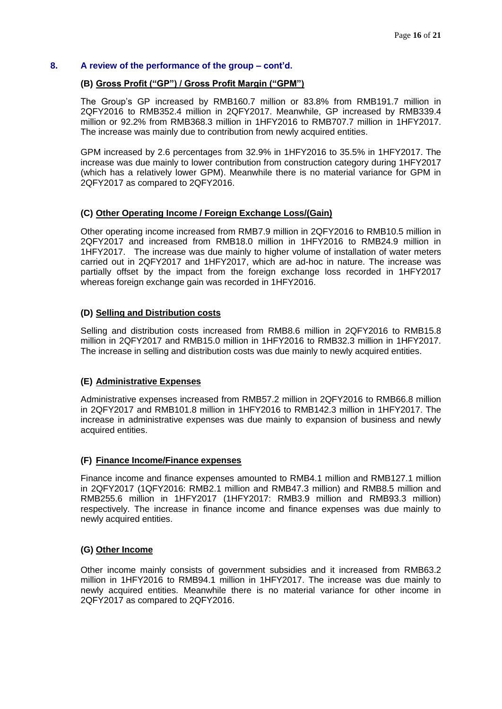## **(B) Gross Profit ("GP") / Gross Profit Margin ("GPM")**

The Group's GP increased by RMB160.7 million or 83.8% from RMB191.7 million in 2QFY2016 to RMB352.4 million in 2QFY2017. Meanwhile, GP increased by RMB339.4 million or 92.2% from RMB368.3 million in 1HFY2016 to RMB707.7 million in 1HFY2017. The increase was mainly due to contribution from newly acquired entities.

GPM increased by 2.6 percentages from 32.9% in 1HFY2016 to 35.5% in 1HFY2017. The increase was due mainly to lower contribution from construction category during 1HFY2017 (which has a relatively lower GPM). Meanwhile there is no material variance for GPM in 2QFY2017 as compared to 2QFY2016.

#### **(C) Other Operating Income / Foreign Exchange Loss/(Gain)**

Other operating income increased from RMB7.9 million in 2QFY2016 to RMB10.5 million in 2QFY2017 and increased from RMB18.0 million in 1HFY2016 to RMB24.9 million in 1HFY2017. The increase was due mainly to higher volume of installation of water meters carried out in 2QFY2017 and 1HFY2017, which are ad-hoc in nature. The increase was partially offset by the impact from the foreign exchange loss recorded in 1HFY2017 whereas foreign exchange gain was recorded in 1HFY2016.

#### **(D) Selling and Distribution costs**

Selling and distribution costs increased from RMB8.6 million in 2QFY2016 to RMB15.8 million in 2QFY2017 and RMB15.0 million in 1HFY2016 to RMB32.3 million in 1HFY2017. The increase in selling and distribution costs was due mainly to newly acquired entities.

## **(E) Administrative Expenses**

Administrative expenses increased from RMB57.2 million in 2QFY2016 to RMB66.8 million in 2QFY2017 and RMB101.8 million in 1HFY2016 to RMB142.3 million in 1HFY2017. The increase in administrative expenses was due mainly to expansion of business and newly acquired entities.

#### **(F) Finance Income/Finance expenses**

Finance income and finance expenses amounted to RMB4.1 million and RMB127.1 million in 2QFY2017 (1QFY2016: RMB2.1 million and RMB47.3 million) and RMB8.5 million and RMB255.6 million in 1HFY2017 (1HFY2017: RMB3.9 million and RMB93.3 million) respectively. The increase in finance income and finance expenses was due mainly to newly acquired entities.

#### **(G) Other Income**

Other income mainly consists of government subsidies and it increased from RMB63.2 million in 1HFY2016 to RMB94.1 million in 1HFY2017. The increase was due mainly to newly acquired entities. Meanwhile there is no material variance for other income in 2QFY2017 as compared to 2QFY2016.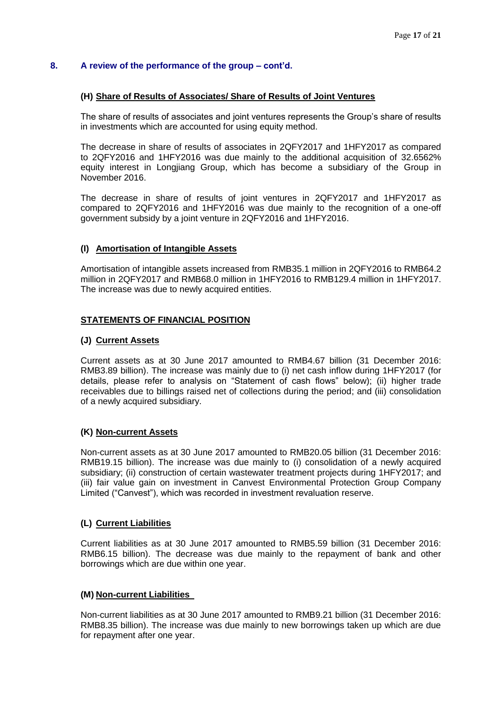#### **(H) Share of Results of Associates/ Share of Results of Joint Ventures**

The share of results of associates and joint ventures represents the Group's share of results in investments which are accounted for using equity method.

The decrease in share of results of associates in 2QFY2017 and 1HFY2017 as compared to 2QFY2016 and 1HFY2016 was due mainly to the additional acquisition of 32.6562% equity interest in Longjiang Group, which has become a subsidiary of the Group in November 2016.

The decrease in share of results of joint ventures in 2QFY2017 and 1HFY2017 as compared to 2QFY2016 and 1HFY2016 was due mainly to the recognition of a one-off government subsidy by a joint venture in 2QFY2016 and 1HFY2016.

#### **(I) Amortisation of Intangible Assets**

Amortisation of intangible assets increased from RMB35.1 million in 2QFY2016 to RMB64.2 million in 2QFY2017 and RMB68.0 million in 1HFY2016 to RMB129.4 million in 1HFY2017. The increase was due to newly acquired entities.

#### **STATEMENTS OF FINANCIAL POSITION**

#### **(J) Current Assets**

Current assets as at 30 June 2017 amounted to RMB4.67 billion (31 December 2016: RMB3.89 billion). The increase was mainly due to (i) net cash inflow during 1HFY2017 (for details, please refer to analysis on "Statement of cash flows" below); (ii) higher trade receivables due to billings raised net of collections during the period; and (iii) consolidation of a newly acquired subsidiary.

#### **(K) Non-current Assets**

Non-current assets as at 30 June 2017 amounted to RMB20.05 billion (31 December 2016: RMB19.15 billion). The increase was due mainly to (i) consolidation of a newly acquired subsidiary; (ii) construction of certain wastewater treatment projects during 1HFY2017; and (iii) fair value gain on investment in Canvest Environmental Protection Group Company Limited ("Canvest"), which was recorded in investment revaluation reserve.

#### **(L) Current Liabilities**

Current liabilities as at 30 June 2017 amounted to RMB5.59 billion (31 December 2016: RMB6.15 billion). The decrease was due mainly to the repayment of bank and other borrowings which are due within one year.

#### **(M) Non-current Liabilities**

Non-current liabilities as at 30 June 2017 amounted to RMB9.21 billion (31 December 2016: RMB8.35 billion). The increase was due mainly to new borrowings taken up which are due for repayment after one year.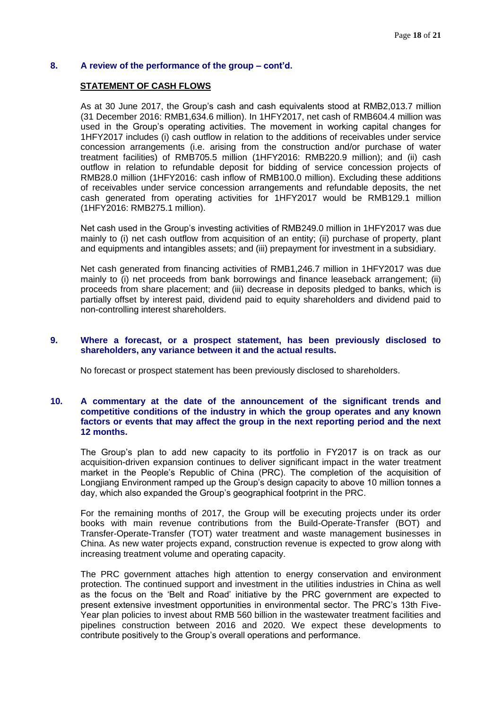#### **STATEMENT OF CASH FLOWS**

As at 30 June 2017, the Group's cash and cash equivalents stood at RMB2,013.7 million (31 December 2016: RMB1,634.6 million). In 1HFY2017, net cash of RMB604.4 million was used in the Group's operating activities. The movement in working capital changes for 1HFY2017 includes (i) cash outflow in relation to the additions of receivables under service concession arrangements (i.e. arising from the construction and/or purchase of water treatment facilities) of RMB705.5 million (1HFY2016: RMB220.9 million); and (ii) cash outflow in relation to refundable deposit for bidding of service concession projects of RMB28.0 million (1HFY2016: cash inflow of RMB100.0 million). Excluding these additions of receivables under service concession arrangements and refundable deposits, the net cash generated from operating activities for 1HFY2017 would be RMB129.1 million (1HFY2016: RMB275.1 million).

Net cash used in the Group's investing activities of RMB249.0 million in 1HFY2017 was due mainly to (i) net cash outflow from acquisition of an entity; (ii) purchase of property, plant and equipments and intangibles assets; and (iii) prepayment for investment in a subsidiary.

Net cash generated from financing activities of RMB1,246.7 million in 1HFY2017 was due mainly to (i) net proceeds from bank borrowings and finance leaseback arrangement; (ii) proceeds from share placement; and (iii) decrease in deposits pledged to banks, which is partially offset by interest paid, dividend paid to equity shareholders and dividend paid to non-controlling interest shareholders.

#### **9. Where a forecast, or a prospect statement, has been previously disclosed to shareholders, any variance between it and the actual results.**

No forecast or prospect statement has been previously disclosed to shareholders.

### **10. A commentary at the date of the announcement of the significant trends and competitive conditions of the industry in which the group operates and any known factors or events that may affect the group in the next reporting period and the next 12 months.**

The Group's plan to add new capacity to its portfolio in FY2017 is on track as our acquisition-driven expansion continues to deliver significant impact in the water treatment market in the People's Republic of China (PRC). The completion of the acquisition of Longjiang Environment ramped up the Group's design capacity to above 10 million tonnes a day, which also expanded the Group's geographical footprint in the PRC.

For the remaining months of 2017, the Group will be executing projects under its order books with main revenue contributions from the Build-Operate-Transfer (BOT) and Transfer-Operate-Transfer (TOT) water treatment and waste management businesses in China. As new water projects expand, construction revenue is expected to grow along with increasing treatment volume and operating capacity.

The PRC government attaches high attention to energy conservation and environment protection. The continued support and investment in the utilities industries in China as well as the focus on the 'Belt and Road' initiative by the PRC government are expected to present extensive investment opportunities in environmental sector. The PRC's 13th Five-Year plan policies to invest about RMB 560 billion in the wastewater treatment facilities and pipelines construction between 2016 and 2020. We expect these developments to contribute positively to the Group's overall operations and performance.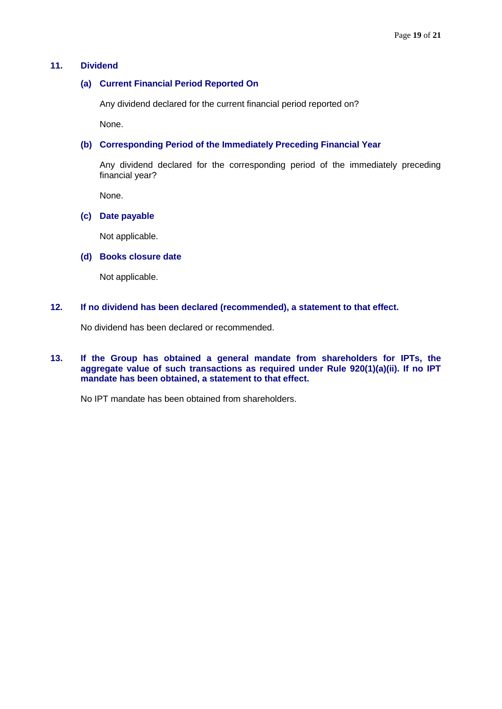## **11. Dividend**

#### **(a) Current Financial Period Reported On**

Any dividend declared for the current financial period reported on?

None.

#### **(b) Corresponding Period of the Immediately Preceding Financial Year**

Any dividend declared for the corresponding period of the immediately preceding financial year?

None.

### **(c) Date payable**

Not applicable.

## **(d) Books closure date**

Not applicable.

#### **12. If no dividend has been declared (recommended), a statement to that effect.**

No dividend has been declared or recommended.

**13. If the Group has obtained a general mandate from shareholders for IPTs, the aggregate value of such transactions as required under Rule 920(1)(a)(ii). If no IPT mandate has been obtained, a statement to that effect.**

No IPT mandate has been obtained from shareholders.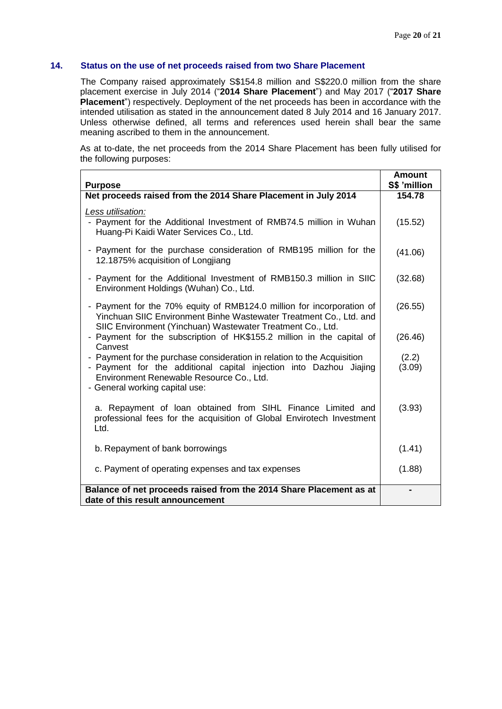## **14. Status on the use of net proceeds raised from two Share Placement**

The Company raised approximately S\$154.8 million and S\$220.0 million from the share placement exercise in July 2014 ("**2014 Share Placement**") and May 2017 ("**2017 Share Placement**") respectively. Deployment of the net proceeds has been in accordance with the intended utilisation as stated in the announcement dated 8 July 2014 and 16 January 2017. Unless otherwise defined, all terms and references used herein shall bear the same meaning ascribed to them in the announcement.

As at to-date, the net proceeds from the 2014 Share Placement has been fully utilised for the following purposes:

| <b>Purpose</b>                                                                                                                                                                                                              | <b>Amount</b><br>S\$ 'million |
|-----------------------------------------------------------------------------------------------------------------------------------------------------------------------------------------------------------------------------|-------------------------------|
| Net proceeds raised from the 2014 Share Placement in July 2014                                                                                                                                                              | 154.78                        |
| Less utilisation:<br>- Payment for the Additional Investment of RMB74.5 million in Wuhan<br>Huang-Pi Kaidi Water Services Co., Ltd.                                                                                         | (15.52)                       |
| - Payment for the purchase consideration of RMB195 million for the<br>12.1875% acquisition of Longjiang                                                                                                                     | (41.06)                       |
| - Payment for the Additional Investment of RMB150.3 million in SIIC<br>Environment Holdings (Wuhan) Co., Ltd.                                                                                                               | (32.68)                       |
| - Payment for the 70% equity of RMB124.0 million for incorporation of<br>Yinchuan SIIC Environment Binhe Wastewater Treatment Co., Ltd. and<br>SIIC Environment (Yinchuan) Wastewater Treatment Co., Ltd.                   | (26.55)                       |
| - Payment for the subscription of HK\$155.2 million in the capital of<br>Canvest                                                                                                                                            | (26.46)                       |
| - Payment for the purchase consideration in relation to the Acquisition<br>- Payment for the additional capital injection into Dazhou Jiajing<br>Environment Renewable Resource Co., Ltd.<br>- General working capital use: | (2.2)<br>(3.09)               |
| a. Repayment of loan obtained from SIHL Finance Limited and<br>professional fees for the acquisition of Global Envirotech Investment<br>Ltd.                                                                                | (3.93)                        |
| b. Repayment of bank borrowings                                                                                                                                                                                             | (1.41)                        |
| c. Payment of operating expenses and tax expenses                                                                                                                                                                           | (1.88)                        |
| Balance of net proceeds raised from the 2014 Share Placement as at<br>date of this result announcement                                                                                                                      |                               |